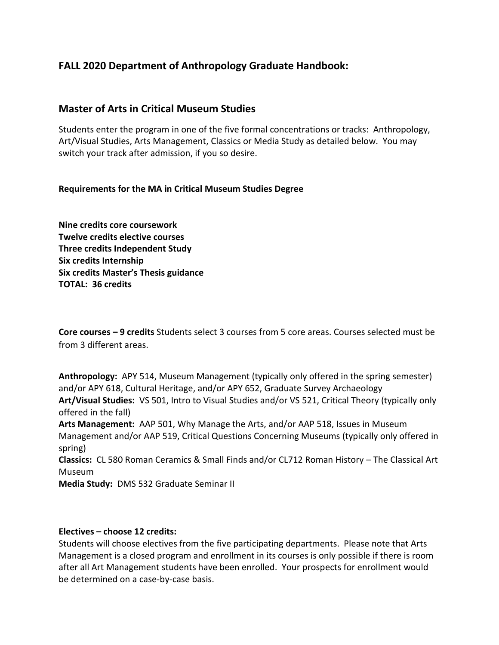## **FALL 2020 Department of Anthropology Graduate Handbook:**

## **Master of Arts in Critical Museum Studies**

Students enter the program in one of the five formal concentrations or tracks: Anthropology, Art/Visual Studies, Arts Management, Classics or Media Study as detailed below. You may switch your track after admission, if you so desire.

### **Requirements for the MA in Critical Museum Studies Degree**

**Nine credits core coursework Twelve credits elective courses Three credits Independent Study Six credits Internship Six credits Master's Thesis guidance TOTAL: 36 credits**

**Core courses – 9 credits** Students select 3 courses from 5 core areas. Courses selected must be from 3 different areas.

**Anthropology:** APY 514, Museum Management (typically only offered in the spring semester) and/or APY 618, Cultural Heritage, and/or APY 652, Graduate Survey Archaeology **Art/Visual Studies:** VS 501, Intro to Visual Studies and/or VS 521, Critical Theory (typically only offered in the fall)

**Arts Management:** AAP 501, Why Manage the Arts, and/or AAP 518, Issues in Museum Management and/or AAP 519, Critical Questions Concerning Museums (typically only offered in spring)

**Classics:** CL 580 Roman Ceramics & Small Finds and/or CL712 Roman History – The Classical Art Museum

**Media Study:** DMS 532 Graduate Seminar II

#### **Electives – choose 12 credits:**

Students will choose electives from the five participating departments. Please note that Arts Management is a closed program and enrollment in its courses is only possible if there is room after all Art Management students have been enrolled. Your prospects for enrollment would be determined on a case-by-case basis.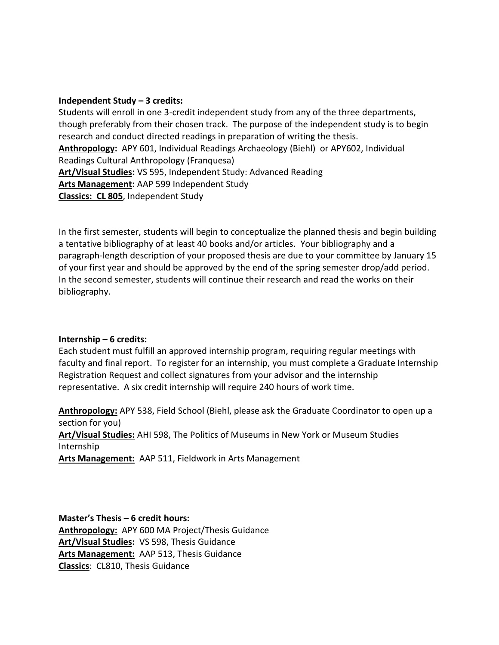#### **Independent Study – 3 credits:**

Students will enroll in one 3-credit independent study from any of the three departments, though preferably from their chosen track. The purpose of the independent study is to begin research and conduct directed readings in preparation of writing the thesis. **Anthropology:** APY 601, Individual Readings Archaeology (Biehl) or APY602, Individual Readings Cultural Anthropology (Franquesa) **Art/Visual Studies:** VS 595, Independent Study: Advanced Reading **Arts Management:** AAP 599 Independent Study **Classics: CL 805**, Independent Study

In the first semester, students will begin to conceptualize the planned thesis and begin building a tentative bibliography of at least 40 books and/or articles. Your bibliography and a paragraph-length description of your proposed thesis are due to your committee by January 15 of your first year and should be approved by the end of the spring semester drop/add period. In the second semester, students will continue their research and read the works on their bibliography.

### **Internship – 6 credits:**

Each student must fulfill an approved internship program, requiring regular meetings with faculty and final report. To register for an internship, you must complete a Graduate Internship Registration Request and collect signatures from your advisor and the internship representative. A six credit internship will require 240 hours of work time.

**Anthropology:** APY 538, Field School (Biehl, please ask the Graduate Coordinator to open up a section for you) **Art/Visual Studies:** AHI 598, The Politics of Museums in New York or Museum Studies Internship **Arts Management:** AAP 511, Fieldwork in Arts Management

**Master's Thesis – 6 credit hours: Anthropology:** APY 600 MA Project/Thesis Guidance **Art/Visual Studies:** VS 598, Thesis Guidance **Arts Management:** AAP 513, Thesis Guidance **Classics**: CL810, Thesis Guidance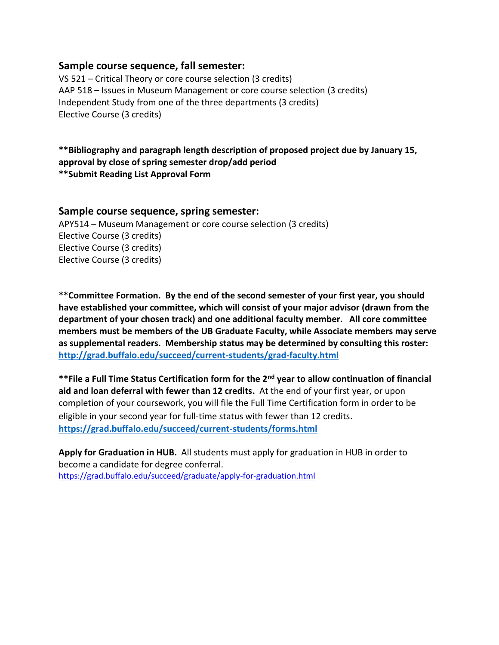## **Sample course sequence, fall semester:**

VS 521 – Critical Theory or core course selection (3 credits) AAP 518 – Issues in Museum Management or core course selection (3 credits) Independent Study from one of the three departments (3 credits) Elective Course (3 credits)

**\*\*Bibliography and paragraph length description of proposed project due by January 15, approval by close of spring semester drop/add period \*\*Submit Reading List Approval Form**

### **Sample course sequence, spring semester:**

APY514 – Museum Management or core course selection (3 credits) Elective Course (3 credits) Elective Course (3 credits) Elective Course (3 credits)

**\*\*Committee Formation. By the end of the second semester of your first year, you should have established your committee, which will consist of your major advisor (drawn from the department of your chosen track) and one additional faculty member. All core committee members must be members of the UB Graduate Faculty, while Associate members may serve as supplemental readers. Membership status may be determined by consulting this roster: <http://grad.buffalo.edu/succeed/current-students/grad-faculty.html>**

**\*\*File a Full Time Status Certification form for the 2nd year to allow continuation of financial aid and loan deferral with fewer than 12 credits.** At the end of your first year, or upon completion of your coursework, you will file the Full Time Certification form in order to be eligible in your second year for full-time status with fewer than 12 credits. **<https://grad.buffalo.edu/succeed/current-students/forms.html>**

**Apply for Graduation in HUB.** All students must apply for graduation in HUB in order to become a candidate for degree conferral. <https://grad.buffalo.edu/succeed/graduate/apply-for-graduation.html>